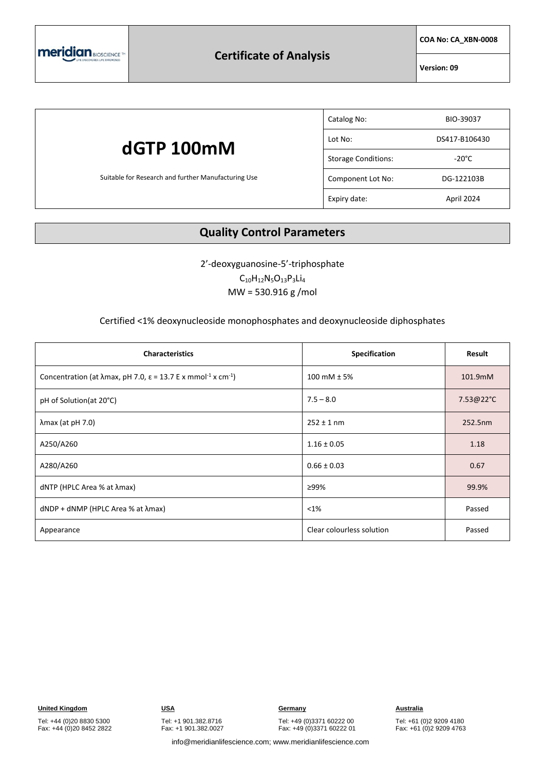

### **Certificate of Analysis**

**COA No: CA\_XBN-0008**

**Version: 09**

## **dGTP 100mM** Suitable for Research and further Manufacturing Use Catalog No: BIO-39037 Lot No: DS417-B106430 Storage Conditions: The Storage Conditions: Component Lot No: DG-122103B Expiry date: April 2024

### **Quality Control Parameters**

2'-deoxyguanosine-5'-triphosphate

 $C_{10}H_{12}N_5O_{13}P_3Li_4$ MW = 530.916 g /mol

#### Certified <1% deoxynucleoside monophosphates and deoxynucleoside diphosphates

| <b>Characteristics</b>                                                                                    | Specification             | Result    |
|-----------------------------------------------------------------------------------------------------------|---------------------------|-----------|
| Concentration (at $\lambda$ max, pH 7.0, $\varepsilon$ = 13.7 E x mmol <sup>-1</sup> x cm <sup>-1</sup> ) | 100 mM $± 5%$             | 101.9mM   |
| pH of Solution(at 20°C)                                                                                   | $7.5 - 8.0$               | 7.53@22°C |
| $\lambda$ max (at pH 7.0)                                                                                 | $252 \pm 1$ nm            | 252.5nm   |
| A250/A260                                                                                                 | $1.16 \pm 0.05$           | 1.18      |
| A280/A260                                                                                                 | $0.66 \pm 0.03$           | 0.67      |
| dNTP (HPLC Area % at λmax)                                                                                | ≥99%                      | 99.9%     |
| $dNDP + dNMP$ (HPLC Area % at $\lambda$ max)                                                              | $<$ 1%                    | Passed    |
| Appearance                                                                                                | Clear colourless solution | Passed    |

Tel: +44 (0)20 8830 5300 Fax: +44 (0)20 8452 2822

Fax: +1 901.382.0027

Tel: +49 (0)3371 60222 00

Fax: +49 (0)3371 60222 01

Tel: +61 (0)2 9209 4180 Fax: +61 (0)2 9209 4763